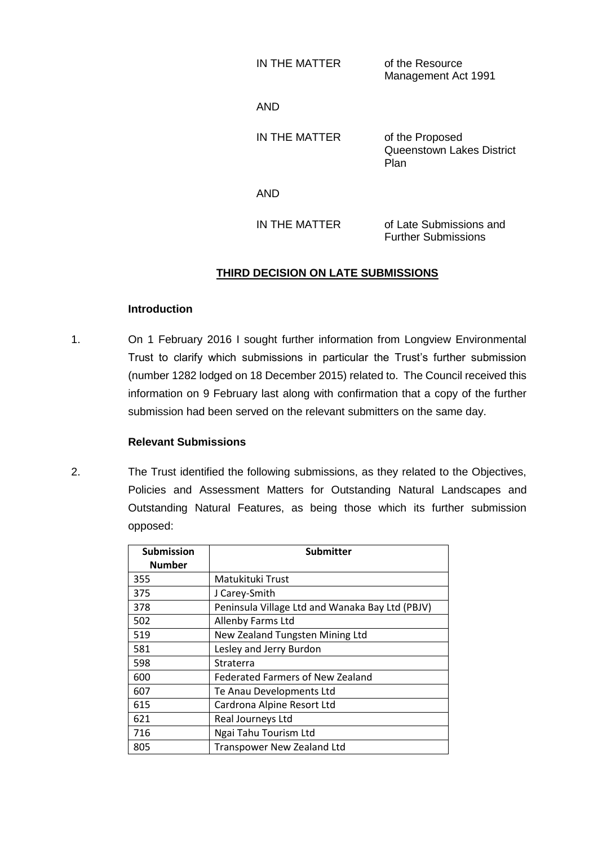| IN THE MATTER | of the Resource     |  |
|---------------|---------------------|--|
|               | Management Act 1991 |  |

AND

IN THE MATTER of the Proposed Queenstown Lakes District Plan

AND

IN THE MATTER of Late Submissions and Further Submissions

# **THIRD DECISION ON LATE SUBMISSIONS**

#### **Introduction**

1. On 1 February 2016 I sought further information from Longview Environmental Trust to clarify which submissions in particular the Trust's further submission (number 1282 lodged on 18 December 2015) related to. The Council received this information on 9 February last along with confirmation that a copy of the further submission had been served on the relevant submitters on the same day.

### **Relevant Submissions**

2. The Trust identified the following submissions, as they related to the Objectives, Policies and Assessment Matters for Outstanding Natural Landscapes and Outstanding Natural Features, as being those which its further submission opposed:

| <b>Submission</b><br><b>Number</b> | Submitter                                       |
|------------------------------------|-------------------------------------------------|
| 355                                | Matukituki Trust                                |
| 375                                | J Carey-Smith                                   |
| 378                                | Peninsula Village Ltd and Wanaka Bay Ltd (PBJV) |
| 502                                | <b>Allenby Farms Ltd</b>                        |
| 519                                | New Zealand Tungsten Mining Ltd                 |
| 581                                | Lesley and Jerry Burdon                         |
| 598                                | Straterra                                       |
| 600                                | <b>Federated Farmers of New Zealand</b>         |
| 607                                | Te Anau Developments Ltd                        |
| 615                                | Cardrona Alpine Resort Ltd                      |
| 621                                | Real Journeys Ltd                               |
| 716                                | Ngai Tahu Tourism Ltd                           |
| 805                                | Transpower New Zealand Ltd                      |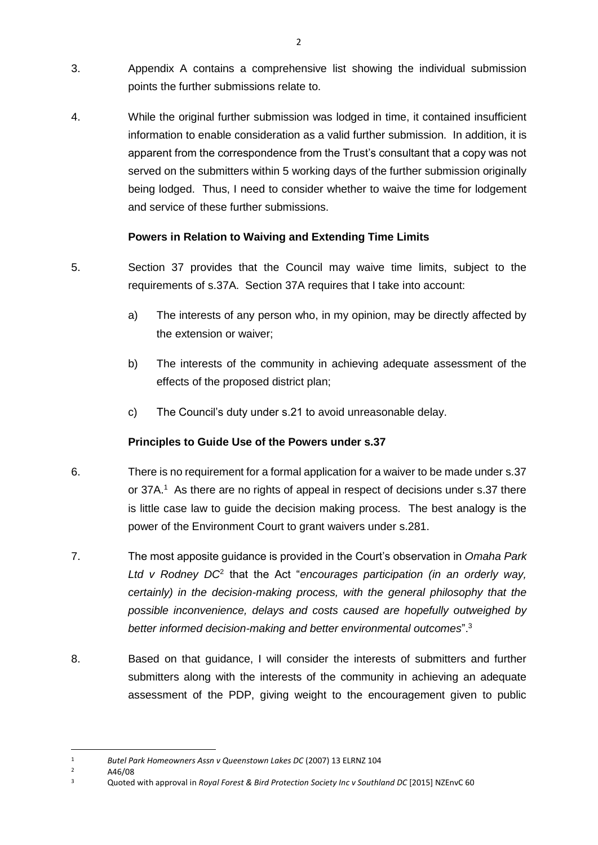- 3. Appendix A contains a comprehensive list showing the individual submission points the further submissions relate to.
- 4. While the original further submission was lodged in time, it contained insufficient information to enable consideration as a valid further submission. In addition, it is apparent from the correspondence from the Trust's consultant that a copy was not served on the submitters within 5 working days of the further submission originally being lodged. Thus, I need to consider whether to waive the time for lodgement and service of these further submissions.

## **Powers in Relation to Waiving and Extending Time Limits**

- 5. Section 37 provides that the Council may waive time limits, subject to the requirements of s.37A. Section 37A requires that I take into account:
	- a) The interests of any person who, in my opinion, may be directly affected by the extension or waiver;
	- b) The interests of the community in achieving adequate assessment of the effects of the proposed district plan;
	- c) The Council's duty under s.21 to avoid unreasonable delay.

## **Principles to Guide Use of the Powers under s.37**

- 6. There is no requirement for a formal application for a waiver to be made under s.37 or 37A.<sup>1</sup> As there are no rights of appeal in respect of decisions under s.37 there is little case law to guide the decision making process. The best analogy is the power of the Environment Court to grant waivers under s.281.
- 7. The most apposite guidance is provided in the Court's observation in *Omaha Park*  Ltd v Rodney DC<sup>2</sup> that the Act "*encourages participation (in an orderly way, certainly) in the decision-making process, with the general philosophy that the possible inconvenience, delays and costs caused are hopefully outweighed by better informed decision-making and better environmental outcomes*".<sup>3</sup>
- 8. Based on that guidance, I will consider the interests of submitters and further submitters along with the interests of the community in achieving an adequate assessment of the PDP, giving weight to the encouragement given to public

A46/08

 $\overline{a}$ 

<sup>1</sup> *Butel Park Homeowners Assn v Queenstown Lakes DC* (2007) 13 ELRNZ 104

<sup>3</sup> Quoted with approval in *Royal Forest & Bird Protection Society Inc v Southland DC* [2015] NZEnvC 60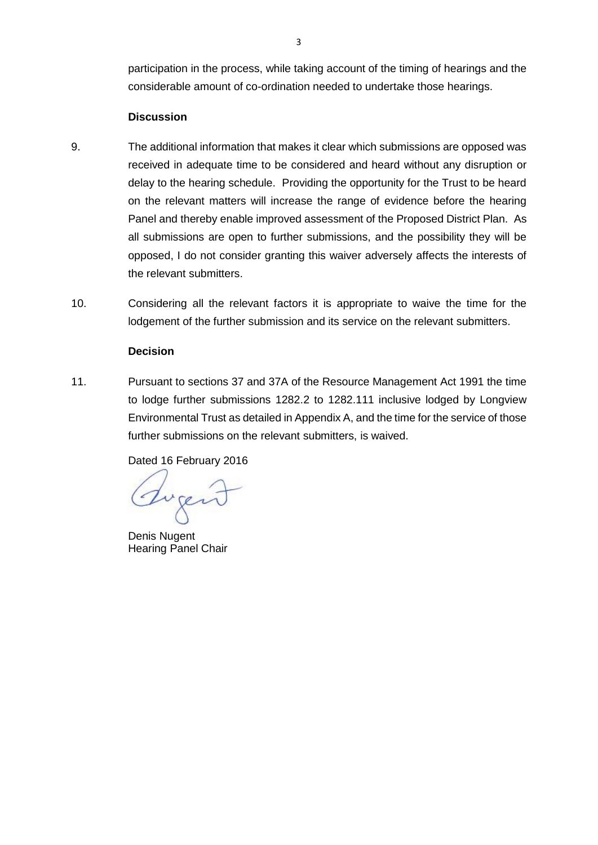participation in the process, while taking account of the timing of hearings and the considerable amount of co-ordination needed to undertake those hearings.

#### **Discussion**

- 9. The additional information that makes it clear which submissions are opposed was received in adequate time to be considered and heard without any disruption or delay to the hearing schedule. Providing the opportunity for the Trust to be heard on the relevant matters will increase the range of evidence before the hearing Panel and thereby enable improved assessment of the Proposed District Plan. As all submissions are open to further submissions, and the possibility they will be opposed, I do not consider granting this waiver adversely affects the interests of the relevant submitters.
- 10. Considering all the relevant factors it is appropriate to waive the time for the lodgement of the further submission and its service on the relevant submitters.

### **Decision**

11. Pursuant to sections 37 and 37A of the Resource Management Act 1991 the time to lodge further submissions 1282.2 to 1282.111 inclusive lodged by Longview Environmental Trust as detailed in Appendix A, and the time for the service of those further submissions on the relevant submitters, is waived.

Dated 16 February 2016

Luger

Denis Nugent Hearing Panel Chair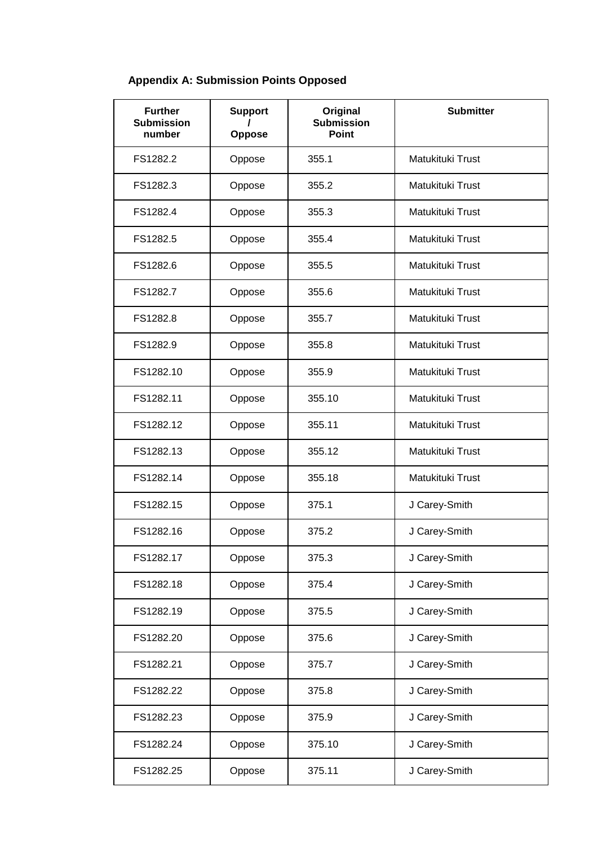# **Appendix A: Submission Points Opposed**

| <b>Further</b><br><b>Submission</b><br>number | <b>Support</b><br><b>Oppose</b> | Original<br><b>Submission</b><br><b>Point</b> | <b>Submitter</b> |
|-----------------------------------------------|---------------------------------|-----------------------------------------------|------------------|
| FS1282.2                                      | Oppose                          | 355.1                                         | Matukituki Trust |
| FS1282.3                                      | Oppose                          | 355.2                                         | Matukituki Trust |
| FS1282.4                                      | Oppose                          | 355.3                                         | Matukituki Trust |
| FS1282.5                                      | Oppose                          | 355.4                                         | Matukituki Trust |
| FS1282.6                                      | Oppose                          | 355.5                                         | Matukituki Trust |
| FS1282.7                                      | Oppose                          | 355.6                                         | Matukituki Trust |
| FS1282.8                                      | Oppose                          | 355.7                                         | Matukituki Trust |
| FS1282.9                                      | Oppose                          | 355.8                                         | Matukituki Trust |
| FS1282.10                                     | Oppose                          | 355.9                                         | Matukituki Trust |
| FS1282.11                                     | Oppose                          | 355.10                                        | Matukituki Trust |
| FS1282.12                                     | Oppose                          | 355.11                                        | Matukituki Trust |
| FS1282.13                                     | Oppose                          | 355.12                                        | Matukituki Trust |
| FS1282.14                                     | Oppose                          | 355.18                                        | Matukituki Trust |
| FS1282.15                                     | Oppose                          | 375.1                                         | J Carey-Smith    |
| FS1282.16                                     | Oppose                          | 375.2                                         | J Carey-Smith    |
| FS1282.17                                     | Oppose                          | 375.3                                         | J Carey-Smith    |
| FS1282.18                                     | Oppose                          | 375.4                                         | J Carey-Smith    |
| FS1282.19                                     | Oppose                          | 375.5                                         | J Carey-Smith    |
| FS1282.20                                     | Oppose                          | 375.6                                         | J Carey-Smith    |
| FS1282.21                                     | Oppose                          | 375.7                                         | J Carey-Smith    |
| FS1282.22                                     | Oppose                          | 375.8                                         | J Carey-Smith    |
| FS1282.23                                     | Oppose                          | 375.9                                         | J Carey-Smith    |
| FS1282.24                                     | Oppose                          | 375.10                                        | J Carey-Smith    |
| FS1282.25                                     | Oppose                          | 375.11                                        | J Carey-Smith    |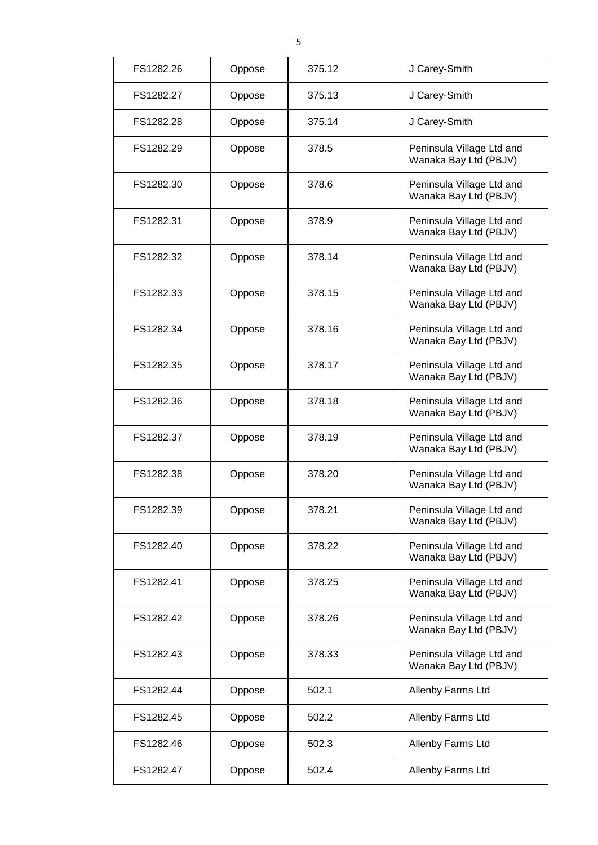|           |        | 5      |                                                    |
|-----------|--------|--------|----------------------------------------------------|
| FS1282.26 | Oppose | 375.12 | J Carey-Smith                                      |
| FS1282.27 | Oppose | 375.13 | J Carey-Smith                                      |
| FS1282.28 | Oppose | 375.14 | J Carey-Smith                                      |
| FS1282.29 | Oppose | 378.5  | Peninsula Village Ltd and<br>Wanaka Bay Ltd (PBJV) |
| FS1282.30 | Oppose | 378.6  | Peninsula Village Ltd and<br>Wanaka Bay Ltd (PBJV) |
| FS1282.31 | Oppose | 378.9  | Peninsula Village Ltd and<br>Wanaka Bay Ltd (PBJV) |
| FS1282.32 | Oppose | 378.14 | Peninsula Village Ltd and<br>Wanaka Bay Ltd (PBJV) |
| FS1282.33 | Oppose | 378.15 | Peninsula Village Ltd and<br>Wanaka Bay Ltd (PBJV) |
| FS1282.34 | Oppose | 378.16 | Peninsula Village Ltd and<br>Wanaka Bay Ltd (PBJV) |
| FS1282.35 | Oppose | 378.17 | Peninsula Village Ltd and<br>Wanaka Bay Ltd (PBJV) |
| FS1282.36 | Oppose | 378.18 | Peninsula Village Ltd and<br>Wanaka Bay Ltd (PBJV) |
| FS1282.37 | Oppose | 378.19 | Peninsula Village Ltd and<br>Wanaka Bay Ltd (PBJV) |
| FS1282.38 | Oppose | 378.20 | Peninsula Village Ltd and<br>Wanaka Bay Ltd (PBJV) |
| FS1282.39 | Oppose | 378.21 | Peninsula Village Ltd and<br>Wanaka Bay Ltd (PBJV) |
| FS1282.40 | Oppose | 378.22 | Peninsula Village Ltd and<br>Wanaka Bay Ltd (PBJV) |
| FS1282.41 | Oppose | 378.25 | Peninsula Village Ltd and<br>Wanaka Bay Ltd (PBJV) |
| FS1282.42 | Oppose | 378.26 | Peninsula Village Ltd and<br>Wanaka Bay Ltd (PBJV) |
| FS1282.43 | Oppose | 378.33 | Peninsula Village Ltd and<br>Wanaka Bay Ltd (PBJV) |
| FS1282.44 | Oppose | 502.1  | Allenby Farms Ltd                                  |
| FS1282.45 | Oppose | 502.2  | Allenby Farms Ltd                                  |
| FS1282.46 | Oppose | 502.3  | Allenby Farms Ltd                                  |
| FS1282.47 | Oppose | 502.4  | Allenby Farms Ltd                                  |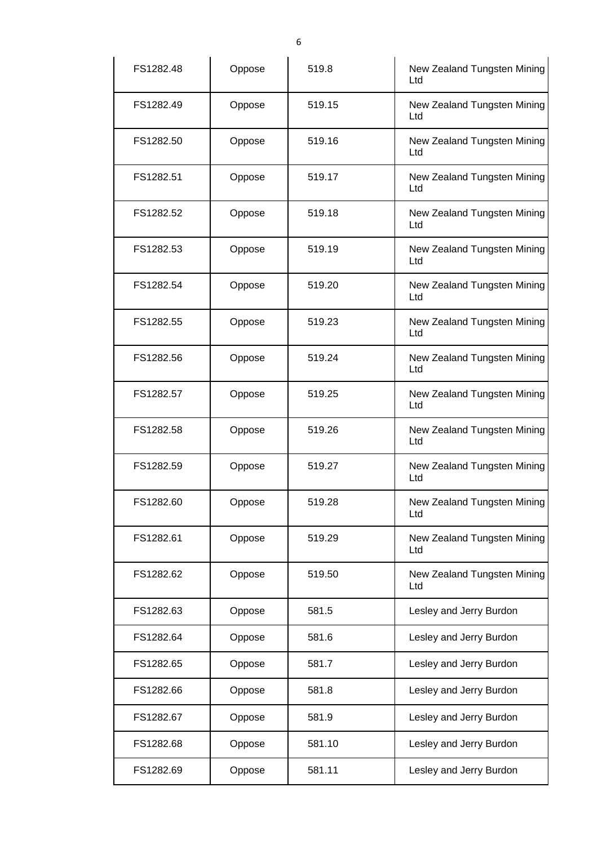| FS1282.48 | Oppose | 519.8  | New Zealand Tungsten Mining<br>Ltd |
|-----------|--------|--------|------------------------------------|
| FS1282.49 | Oppose | 519.15 | New Zealand Tungsten Mining<br>Ltd |
| FS1282.50 | Oppose | 519.16 | New Zealand Tungsten Mining<br>Ltd |
| FS1282.51 | Oppose | 519.17 | New Zealand Tungsten Mining<br>Ltd |
| FS1282.52 | Oppose | 519.18 | New Zealand Tungsten Mining<br>Ltd |
| FS1282.53 | Oppose | 519.19 | New Zealand Tungsten Mining<br>Ltd |
| FS1282.54 | Oppose | 519.20 | New Zealand Tungsten Mining<br>Ltd |
| FS1282.55 | Oppose | 519.23 | New Zealand Tungsten Mining<br>Ltd |
| FS1282.56 | Oppose | 519.24 | New Zealand Tungsten Mining<br>Ltd |
| FS1282.57 | Oppose | 519.25 | New Zealand Tungsten Mining<br>Ltd |
| FS1282.58 | Oppose | 519.26 | New Zealand Tungsten Mining<br>Ltd |
| FS1282.59 | Oppose | 519.27 | New Zealand Tungsten Mining<br>Ltd |
| FS1282.60 | Oppose | 519.28 | New Zealand Tungsten Mining<br>Ltd |
| FS1282.61 | Oppose | 519.29 | New Zealand Tungsten Mining<br>Ltd |
| FS1282.62 | Oppose | 519.50 | New Zealand Tungsten Mining<br>Ltd |
| FS1282.63 | Oppose | 581.5  | Lesley and Jerry Burdon            |
| FS1282.64 | Oppose | 581.6  | Lesley and Jerry Burdon            |
| FS1282.65 | Oppose | 581.7  | Lesley and Jerry Burdon            |
| FS1282.66 | Oppose | 581.8  | Lesley and Jerry Burdon            |
| FS1282.67 | Oppose | 581.9  | Lesley and Jerry Burdon            |
| FS1282.68 | Oppose | 581.10 | Lesley and Jerry Burdon            |
| FS1282.69 | Oppose | 581.11 | Lesley and Jerry Burdon            |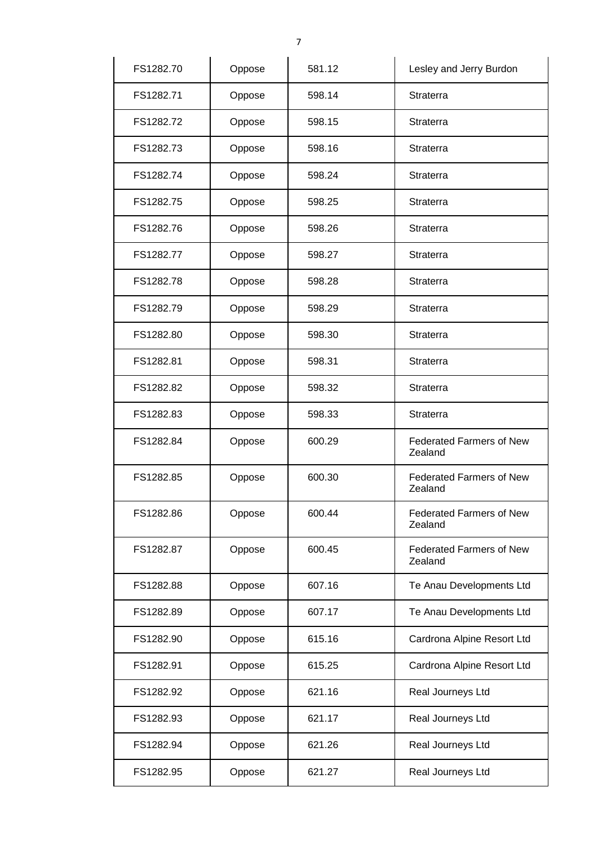| FS1282.70 | Oppose | 581.12 | Lesley and Jerry Burdon                    |
|-----------|--------|--------|--------------------------------------------|
| FS1282.71 | Oppose | 598.14 | <b>Straterra</b>                           |
| FS1282.72 | Oppose | 598.15 | <b>Straterra</b>                           |
| FS1282.73 | Oppose | 598.16 | Straterra                                  |
| FS1282.74 | Oppose | 598.24 | Straterra                                  |
| FS1282.75 | Oppose | 598.25 | Straterra                                  |
| FS1282.76 | Oppose | 598.26 | <b>Straterra</b>                           |
| FS1282.77 | Oppose | 598.27 | <b>Straterra</b>                           |
| FS1282.78 | Oppose | 598.28 | <b>Straterra</b>                           |
| FS1282.79 | Oppose | 598.29 | Straterra                                  |
| FS1282.80 | Oppose | 598.30 | <b>Straterra</b>                           |
| FS1282.81 | Oppose | 598.31 | <b>Straterra</b>                           |
| FS1282.82 | Oppose | 598.32 | Straterra                                  |
| FS1282.83 | Oppose | 598.33 | Straterra                                  |
| FS1282.84 | Oppose | 600.29 | <b>Federated Farmers of New</b><br>Zealand |
| FS1282.85 | Oppose | 600.30 | <b>Federated Farmers of New</b><br>Zealand |
| FS1282.86 | Oppose | 600.44 | <b>Federated Farmers of New</b><br>Zealand |
| FS1282.87 | Oppose | 600.45 | <b>Federated Farmers of New</b><br>Zealand |
| FS1282.88 | Oppose | 607.16 | Te Anau Developments Ltd                   |
| FS1282.89 | Oppose | 607.17 | Te Anau Developments Ltd                   |
| FS1282.90 | Oppose | 615.16 | Cardrona Alpine Resort Ltd                 |
| FS1282.91 | Oppose | 615.25 | Cardrona Alpine Resort Ltd                 |
| FS1282.92 | Oppose | 621.16 | Real Journeys Ltd                          |
| FS1282.93 | Oppose | 621.17 | Real Journeys Ltd                          |
| FS1282.94 | Oppose | 621.26 | Real Journeys Ltd                          |
| FS1282.95 | Oppose | 621.27 | Real Journeys Ltd                          |